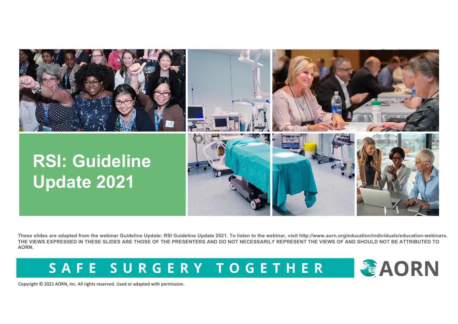

**These slides are adapted from the webinar Guideline Update: RSI Guideline Update 2021. To listen to the webinar, visit http://www.aorn.org/education/individuals/education-webinars. THE VIEWS EXPRESSED IN THESE SLIDES ARE THOSE OF THE PRESENTERS AND DO NOT NECESSARILY REPRESENT THE VIEWS OF AND SHOULD NOT BE ATTRIBUTED TO AORN.**

SAFE SURGERY TOGETHER

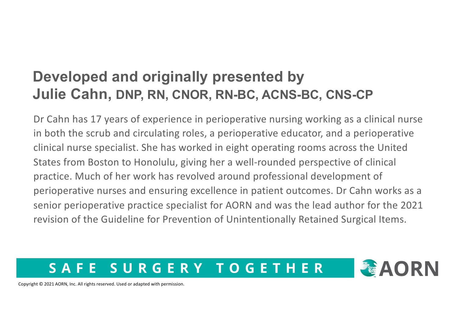### **Developed and originally presented by Julie Cahn, DNP, RN, CNOR, RN-BC, ACNS-BC, CNS-CP**

Dr Cahn has 17 years of experience in perioperative nursing working as a clinical nurse in both the scrub and circulating roles, a perioperative educator, and a perioperative clinical nurse specialist. She has worked in eight operating rooms across the United States from Boston to Honolulu, giving her a well-rounded perspective of clinical practice. Much of her work has revolved around professional development of perioperative nurses and ensuring excellence in patient outcomes. Dr Cahn works as a senior perioperative practice specialist for AORN and was the lead author for the 2021 revision of the Guideline for Prevention of Unintentionally Retained Surgical Items.

#### SURGERY TOGETHER SA F E

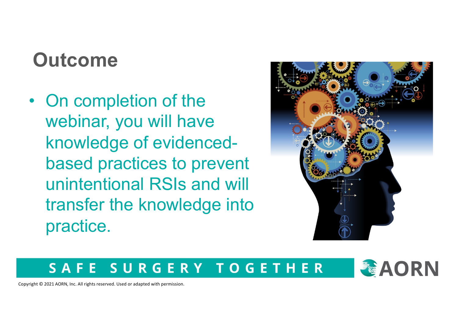## **Outcome**

• On completion of the webinar, you will have knowledge of evidencedbased practices to prevent unintentional RSIs and will transfer the knowledge into practice.



#### SURGERY TOGETHER SAFE